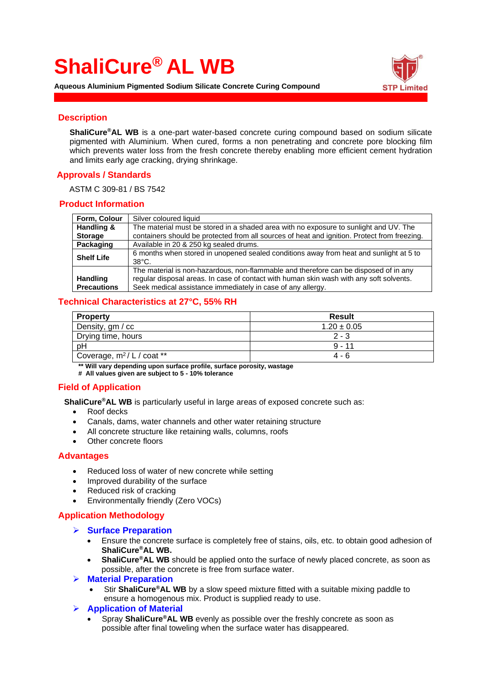# **ShaliCure® AL WB**

**Aqueous Aluminium Pigmented Sodium Silicate Concrete Curing Compound**



## **Description**

**ShaliCure®AL WB** is a one-part water-based concrete curing compound based on sodium silicate pigmented with Aluminium. When cured, forms a non penetrating and concrete pore blocking film which prevents water loss from the fresh concrete thereby enabling more efficient cement hydration and limits early age cracking, drying shrinkage.

# **Approvals / Standards**

ASTM C 309-81 / BS 7542

## **Product Information**

| Form, Colour       | Silver coloured liquid                                                                                    |  |
|--------------------|-----------------------------------------------------------------------------------------------------------|--|
| Handling &         | The material must be stored in a shaded area with no exposure to sunlight and UV. The                     |  |
| <b>Storage</b>     | containers should be protected from all sources of heat and ignition. Protect from freezing.              |  |
| Packaging          | Available in 20 & 250 kg sealed drums.                                                                    |  |
| <b>Shelf Life</b>  | 6 months when stored in unopened sealed conditions away from heat and sunlight at 5 to<br>$38^{\circ}$ C. |  |
|                    | The material is non-hazardous, non-flammable and therefore can be disposed of in any                      |  |
| <b>Handling</b>    | regular disposal areas. In case of contact with human skin wash with any soft solvents.                   |  |
| <b>Precautions</b> | Seek medical assistance immediately in case of any allergy.                                               |  |

## **Technical Characteristics at 27°C, 55% RH**

| <b>Property</b>                        | <b>Result</b>   |  |
|----------------------------------------|-----------------|--|
| Density, gm / cc                       | $1.20 \pm 0.05$ |  |
| Drying time, hours                     | $2 - 3$         |  |
| pH                                     | $9 - 11$        |  |
| Coverage, m <sup>2</sup> / L / coat ** | 4 - 6           |  |

**\*\* Will vary depending upon surface profile, surface porosity, wastage**

**# All values given are subject to 5 - 10% tolerance**

# **Field of Application**

 **ShaliCure®AL WB** is particularly useful in large areas of exposed concrete such as:

- Roof decks
- Canals, dams, water channels and other water retaining structure
- All concrete structure like retaining walls, columns, roofs
- Other concrete floors

#### **Advantages**

- Reduced loss of water of new concrete while setting
- Improved durability of the surface
- Reduced risk of cracking
- Environmentally friendly (Zero VOCs)

## **Application Methodology**

- ➢ **Surface Preparation**
	- Ensure the concrete surface is completely free of stains, oils, etc. to obtain good adhesion of **ShaliCure®AL WB.**
	- **ShaliCure®AL WB** should be applied onto the surface of newly placed concrete, as soon as possible, after the concrete is free from surface water.
- ➢ **Material Preparation**
	- Stir **ShaliCure®AL WB** by a slow speed mixture fitted with a suitable mixing paddle to ensure a homogenous mix. Product is supplied ready to use.
- ➢ **Application of Material**
	- Spray **ShaliCure®AL WB** evenly as possible over the freshly concrete as soon as possible after final toweling when the surface water has disappeared.